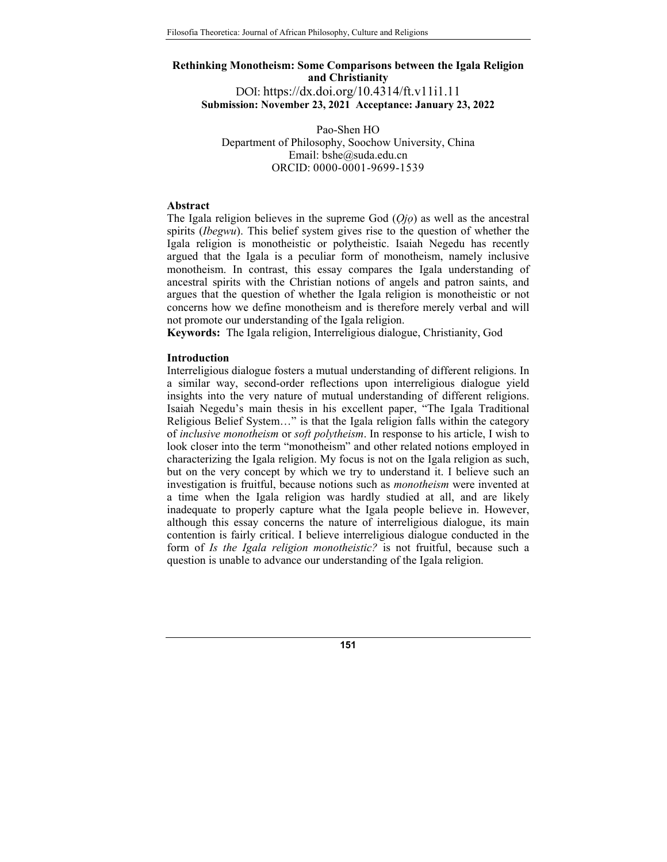# **Rethinking Monotheism: Some Comparisons between the Igala Religion and Christianity**  DOI: https://dx.doi.org/10.4314/ft.v11i1.11 **Submission: November 23, 2021 Acceptance: January 23, 2022**

Pao-Shen HO Department of Philosophy, Soochow University, China Email: bshe@suda.edu.cn ORCID: 0000-0001-9699-1539

### **Abstract**

The Igala religion believes in the supreme God (*Ọjọ*) as well as the ancestral spirits (*Ibegwu*). This belief system gives rise to the question of whether the Igala religion is monotheistic or polytheistic. Isaiah Negedu has recently argued that the Igala is a peculiar form of monotheism, namely inclusive monotheism. In contrast, this essay compares the Igala understanding of ancestral spirits with the Christian notions of angels and patron saints, and argues that the question of whether the Igala religion is monotheistic or not concerns how we define monotheism and is therefore merely verbal and will not promote our understanding of the Igala religion.

**Keywords:** The Igala religion, Interreligious dialogue, Christianity, God

### **Introduction**

Interreligious dialogue fosters a mutual understanding of different religions. In a similar way, second-order reflections upon interreligious dialogue yield insights into the very nature of mutual understanding of different religions. Isaiah Negedu's main thesis in his excellent paper, "The Igala Traditional Religious Belief System…" is that the Igala religion falls within the category of *inclusive monotheism* or *soft polytheism*. In response to his article, I wish to look closer into the term "monotheism" and other related notions employed in characterizing the Igala religion. My focus is not on the Igala religion as such, but on the very concept by which we try to understand it. I believe such an investigation is fruitful, because notions such as *monotheism* were invented at a time when the Igala religion was hardly studied at all, and are likely inadequate to properly capture what the Igala people believe in. However, although this essay concerns the nature of interreligious dialogue, its main contention is fairly critical. I believe interreligious dialogue conducted in the form of *Is the Igala religion monotheistic?* is not fruitful, because such a question is unable to advance our understanding of the Igala religion.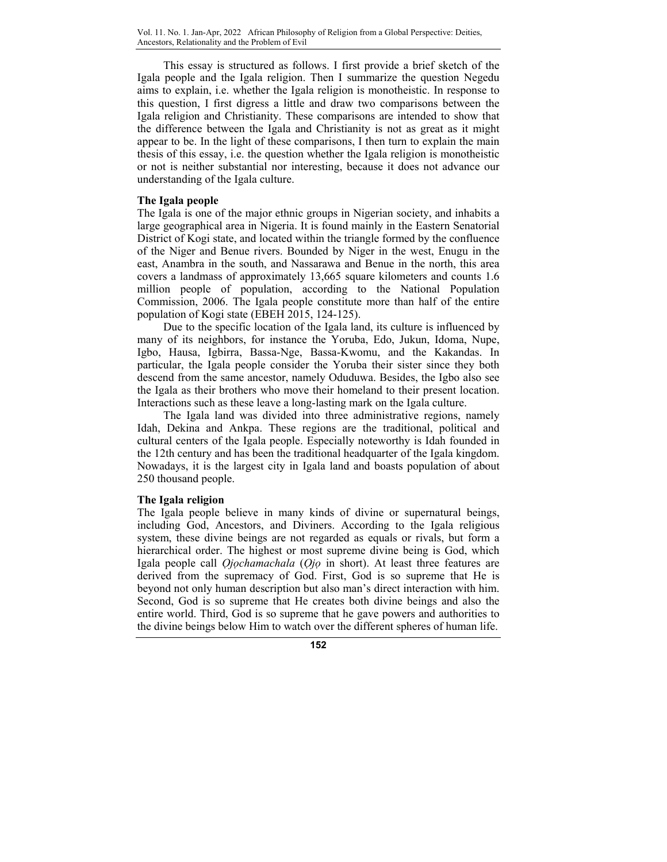This essay is structured as follows. I first provide a brief sketch of the Igala people and the Igala religion. Then I summarize the question Negedu aims to explain, i.e. whether the Igala religion is monotheistic. In response to this question, I first digress a little and draw two comparisons between the Igala religion and Christianity. These comparisons are intended to show that the difference between the Igala and Christianity is not as great as it might appear to be. In the light of these comparisons, I then turn to explain the main thesis of this essay, i.e. the question whether the Igala religion is monotheistic or not is neither substantial nor interesting, because it does not advance our understanding of the Igala culture.

## **The Igala people**

The Igala is one of the major ethnic groups in Nigerian society, and inhabits a large geographical area in Nigeria. It is found mainly in the Eastern Senatorial District of Kogi state, and located within the triangle formed by the confluence of the Niger and Benue rivers. Bounded by Niger in the west, Enugu in the east, Anambra in the south, and Nassarawa and Benue in the north, this area covers a landmass of approximately 13,665 square kilometers and counts 1.6 million people of population, according to the National Population Commission, 2006. The Igala people constitute more than half of the entire population of Kogi state (EBEH 2015, 124-125).

Due to the specific location of the Igala land, its culture is influenced by many of its neighbors, for instance the Yoruba, Edo, Jukun, Idoma, Nupe, Igbo, Hausa, Igbirra, Bassa-Nge, Bassa-Kwomu, and the Kakandas. In particular, the Igala people consider the Yoruba their sister since they both descend from the same ancestor, namely Oduduwa. Besides, the Igbo also see the Igala as their brothers who move their homeland to their present location. Interactions such as these leave a long-lasting mark on the Igala culture.

The Igala land was divided into three administrative regions, namely Idah, Dekina and Ankpa. These regions are the traditional, political and cultural centers of the Igala people. Especially noteworthy is Idah founded in the 12th century and has been the traditional headquarter of the Igala kingdom. Nowadays, it is the largest city in Igala land and boasts population of about 250 thousand people.

### **The Igala religion**

The Igala people believe in many kinds of divine or supernatural beings, including God, Ancestors, and Diviners. According to the Igala religious system, these divine beings are not regarded as equals or rivals, but form a hierarchical order. The highest or most supreme divine being is God, which Igala people call *Ọjọchamachala* (*Ọjọ* in short). At least three features are derived from the supremacy of God. First, God is so supreme that He is beyond not only human description but also man's direct interaction with him. Second, God is so supreme that He creates both divine beings and also the entire world. Third, God is so supreme that he gave powers and authorities to the divine beings below Him to watch over the different spheres of human life.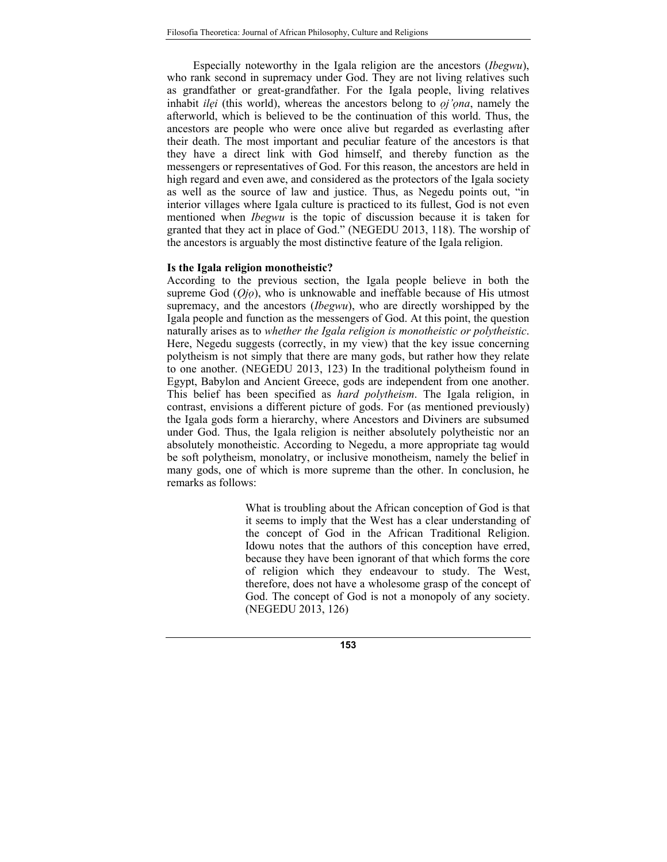Especially noteworthy in the Igala religion are the ancestors (*Ibegwu*), who rank second in supremacy under God. They are not living relatives such as grandfather or great-grandfather. For the Igala people, living relatives inhabit *ilẹi* (this world), whereas the ancestors belong to *ọj'ọna*, namely the afterworld, which is believed to be the continuation of this world. Thus, the ancestors are people who were once alive but regarded as everlasting after their death. The most important and peculiar feature of the ancestors is that they have a direct link with God himself, and thereby function as the messengers or representatives of God. For this reason, the ancestors are held in high regard and even awe, and considered as the protectors of the Igala society as well as the source of law and justice. Thus, as Negedu points out, "in interior villages where Igala culture is practiced to its fullest, God is not even mentioned when *Ibegwu* is the topic of discussion because it is taken for granted that they act in place of God." (NEGEDU 2013, 118). The worship of the ancestors is arguably the most distinctive feature of the Igala religion.

#### **Is the Igala religion monotheistic?**

According to the previous section, the Igala people believe in both the supreme God (*Ọjọ*), who is unknowable and ineffable because of His utmost supremacy, and the ancestors (*Ibegwu*), who are directly worshipped by the Igala people and function as the messengers of God. At this point, the question naturally arises as to *whether the Igala religion is monotheistic or polytheistic*. Here, Negedu suggests (correctly, in my view) that the key issue concerning polytheism is not simply that there are many gods, but rather how they relate to one another. (NEGEDU 2013, 123) In the traditional polytheism found in Egypt, Babylon and Ancient Greece, gods are independent from one another. This belief has been specified as *hard polytheism*. The Igala religion, in contrast, envisions a different picture of gods. For (as mentioned previously) the Igala gods form a hierarchy, where Ancestors and Diviners are subsumed under God. Thus, the Igala religion is neither absolutely polytheistic nor an absolutely monotheistic. According to Negedu, a more appropriate tag would be soft polytheism, monolatry, or inclusive monotheism, namely the belief in many gods, one of which is more supreme than the other. In conclusion, he remarks as follows:

> What is troubling about the African conception of God is that it seems to imply that the West has a clear understanding of the concept of God in the African Traditional Religion. Idowu notes that the authors of this conception have erred, because they have been ignorant of that which forms the core of religion which they endeavour to study. The West, therefore, does not have a wholesome grasp of the concept of God. The concept of God is not a monopoly of any society. (NEGEDU 2013, 126)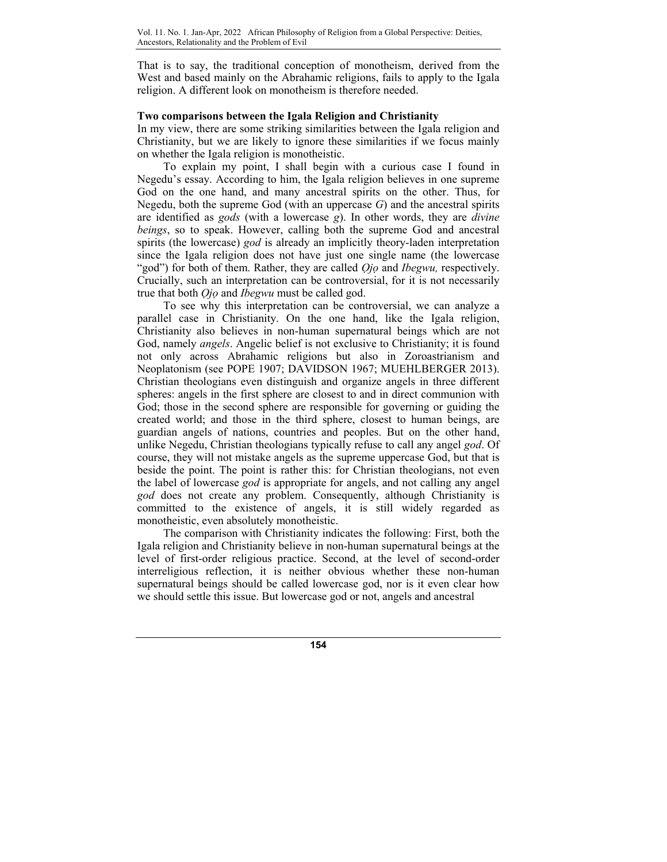That is to say, the traditional conception of monotheism, derived from the West and based mainly on the Abrahamic religions, fails to apply to the Igala religion. A different look on monotheism is therefore needed.

# **Two comparisons between the Igala Religion and Christianity**

In my view, there are some striking similarities between the Igala religion and Christianity, but we are likely to ignore these similarities if we focus mainly on whether the Igala religion is monotheistic.

To explain my point, I shall begin with a curious case I found in Negedu's essay. According to him, the Igala religion believes in one supreme God on the one hand, and many ancestral spirits on the other. Thus, for Negedu, both the supreme God (with an uppercase *G*) and the ancestral spirits are identified as *gods* (with a lowercase *g*). In other words, they are *divine beings*, so to speak. However, calling both the supreme God and ancestral spirits (the lowercase) *god* is already an implicitly theory-laden interpretation since the Igala religion does not have just one single name (the lowercase "god") for both of them. Rather, they are called *Ọjọ* and *Ibegwu,* respectively. Crucially, such an interpretation can be controversial, for it is not necessarily true that both *Ọjọ* and *Ibegwu* must be called god.

To see why this interpretation can be controversial, we can analyze a parallel case in Christianity. On the one hand, like the Igala religion, Christianity also believes in non-human supernatural beings which are not God, namely *angels*. Angelic belief is not exclusive to Christianity; it is found not only across Abrahamic religions but also in Zoroastrianism and Neoplatonism (see POPE 1907; DAVIDSON 1967; MUEHLBERGER 2013). Christian theologians even distinguish and organize angels in three different spheres: angels in the first sphere are closest to and in direct communion with God; those in the second sphere are responsible for governing or guiding the created world; and those in the third sphere, closest to human beings, are guardian angels of nations, countries and peoples. But on the other hand, unlike Negedu, Christian theologians typically refuse to call any angel *god*. Of course, they will not mistake angels as the supreme uppercase God, but that is beside the point. The point is rather this: for Christian theologians, not even the label of lowercase *god* is appropriate for angels, and not calling any angel *god* does not create any problem. Consequently, although Christianity is committed to the existence of angels, it is still widely regarded as monotheistic, even absolutely monotheistic.

The comparison with Christianity indicates the following: First, both the Igala religion and Christianity believe in non-human supernatural beings at the level of first-order religious practice. Second, at the level of second-order interreligious reflection, it is neither obvious whether these non-human supernatural beings should be called lowercase god, nor is it even clear how we should settle this issue. But lowercase god or not, angels and ancestral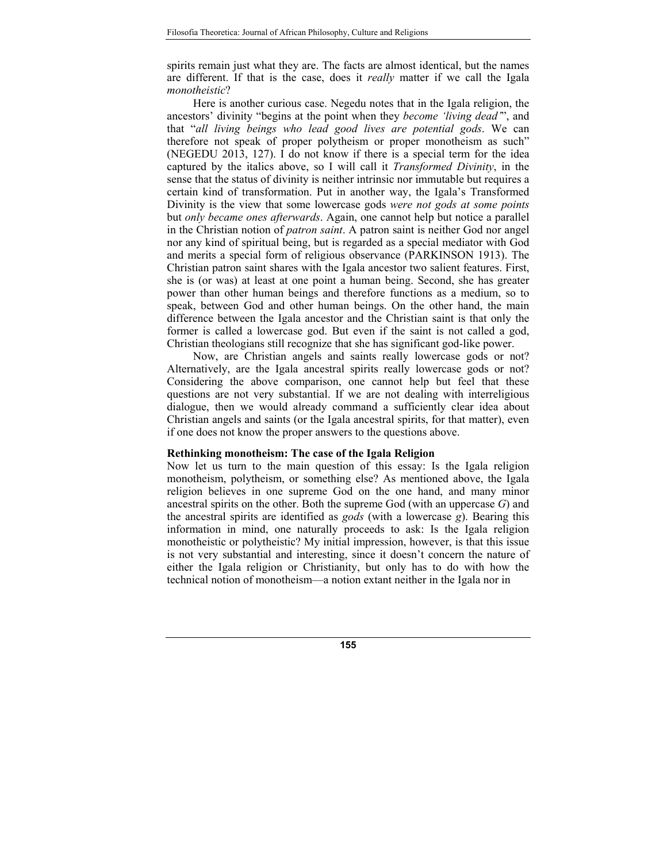spirits remain just what they are. The facts are almost identical, but the names are different. If that is the case, does it *really* matter if we call the Igala *monotheistic*?

Here is another curious case. Negedu notes that in the Igala religion, the ancestors' divinity "begins at the point when they *become 'living dead'*", and that "*all living beings who lead good lives are potential gods*. We can therefore not speak of proper polytheism or proper monotheism as such" (NEGEDU 2013, 127). I do not know if there is a special term for the idea captured by the italics above, so I will call it *Transformed Divinity*, in the sense that the status of divinity is neither intrinsic nor immutable but requires a certain kind of transformation. Put in another way, the Igala's Transformed Divinity is the view that some lowercase gods *were not gods at some points* but *only became ones afterwards*. Again, one cannot help but notice a parallel in the Christian notion of *patron saint*. A patron saint is neither God nor angel nor any kind of spiritual being, but is regarded as a special mediator with God and merits a special form of religious observance (PARKINSON 1913). The Christian patron saint shares with the Igala ancestor two salient features. First, she is (or was) at least at one point a human being. Second, she has greater power than other human beings and therefore functions as a medium, so to speak, between God and other human beings. On the other hand, the main difference between the Igala ancestor and the Christian saint is that only the former is called a lowercase god. But even if the saint is not called a god, Christian theologians still recognize that she has significant god-like power.

Now, are Christian angels and saints really lowercase gods or not? Alternatively, are the Igala ancestral spirits really lowercase gods or not? Considering the above comparison, one cannot help but feel that these questions are not very substantial. If we are not dealing with interreligious dialogue, then we would already command a sufficiently clear idea about Christian angels and saints (or the Igala ancestral spirits, for that matter), even if one does not know the proper answers to the questions above.

#### **Rethinking monotheism: The case of the Igala Religion**

Now let us turn to the main question of this essay: Is the Igala religion monotheism, polytheism, or something else? As mentioned above, the Igala religion believes in one supreme God on the one hand, and many minor ancestral spirits on the other. Both the supreme God (with an uppercase *G*) and the ancestral spirits are identified as *gods* (with a lowercase *g*). Bearing this information in mind, one naturally proceeds to ask: Is the Igala religion monotheistic or polytheistic? My initial impression, however, is that this issue is not very substantial and interesting, since it doesn't concern the nature of either the Igala religion or Christianity, but only has to do with how the technical notion of monotheism—a notion extant neither in the Igala nor in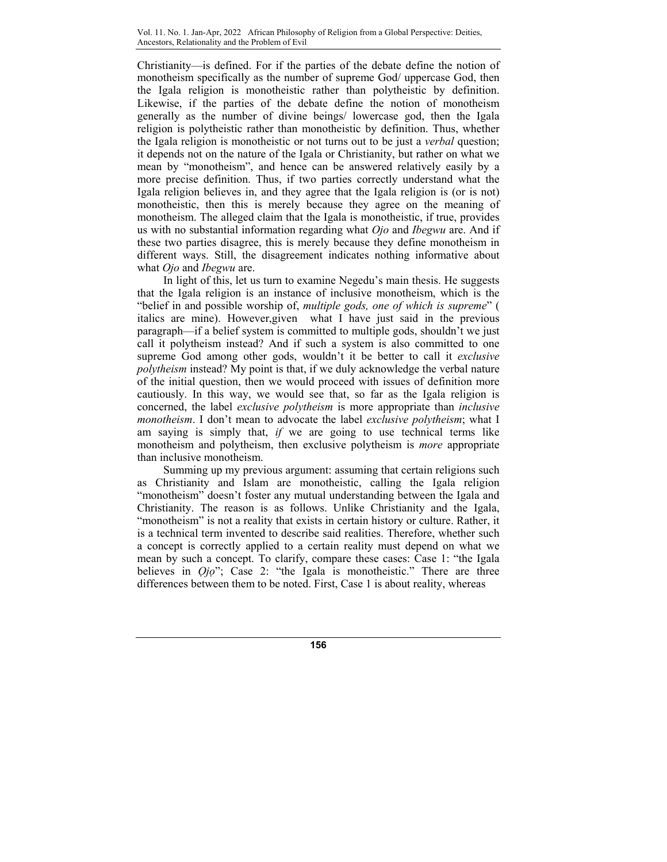Christianity—is defined. For if the parties of the debate define the notion of monotheism specifically as the number of supreme God/ uppercase God, then the Igala religion is monotheistic rather than polytheistic by definition. Likewise, if the parties of the debate define the notion of monotheism generally as the number of divine beings/ lowercase god, then the Igala religion is polytheistic rather than monotheistic by definition. Thus, whether the Igala religion is monotheistic or not turns out to be just a *verbal* question; it depends not on the nature of the Igala or Christianity, but rather on what we mean by "monotheism", and hence can be answered relatively easily by a more precise definition. Thus, if two parties correctly understand what the Igala religion believes in, and they agree that the Igala religion is (or is not) monotheistic, then this is merely because they agree on the meaning of monotheism. The alleged claim that the Igala is monotheistic, if true, provides us with no substantial information regarding what *Ojo* and *Ibegwu* are. And if these two parties disagree, this is merely because they define monotheism in different ways. Still, the disagreement indicates nothing informative about what *Ojo* and *Ibegwu* are.

In light of this, let us turn to examine Negedu's main thesis. He suggests that the Igala religion is an instance of inclusive monotheism, which is the "belief in and possible worship of, *multiple gods, one of which is supreme*" ( italics are mine). However,given what I have just said in the previous paragraph—if a belief system is committed to multiple gods, shouldn't we just call it polytheism instead? And if such a system is also committed to one supreme God among other gods, wouldn't it be better to call it *exclusive polytheism* instead? My point is that, if we duly acknowledge the verbal nature of the initial question, then we would proceed with issues of definition more cautiously. In this way, we would see that, so far as the Igala religion is concerned, the label *exclusive polytheism* is more appropriate than *inclusive monotheism*. I don't mean to advocate the label *exclusive polytheism*; what I am saying is simply that, *if* we are going to use technical terms like monotheism and polytheism, then exclusive polytheism is *more* appropriate than inclusive monotheism.

Summing up my previous argument: assuming that certain religions such as Christianity and Islam are monotheistic, calling the Igala religion "monotheism" doesn't foster any mutual understanding between the Igala and Christianity. The reason is as follows. Unlike Christianity and the Igala, "monotheism" is not a reality that exists in certain history or culture. Rather, it is a technical term invented to describe said realities. Therefore, whether such a concept is correctly applied to a certain reality must depend on what we mean by such a concept. To clarify, compare these cases: Case 1: "the Igala believes in *Ọjọ*"; Case 2: "the Igala is monotheistic." There are three differences between them to be noted. First, Case 1 is about reality, whereas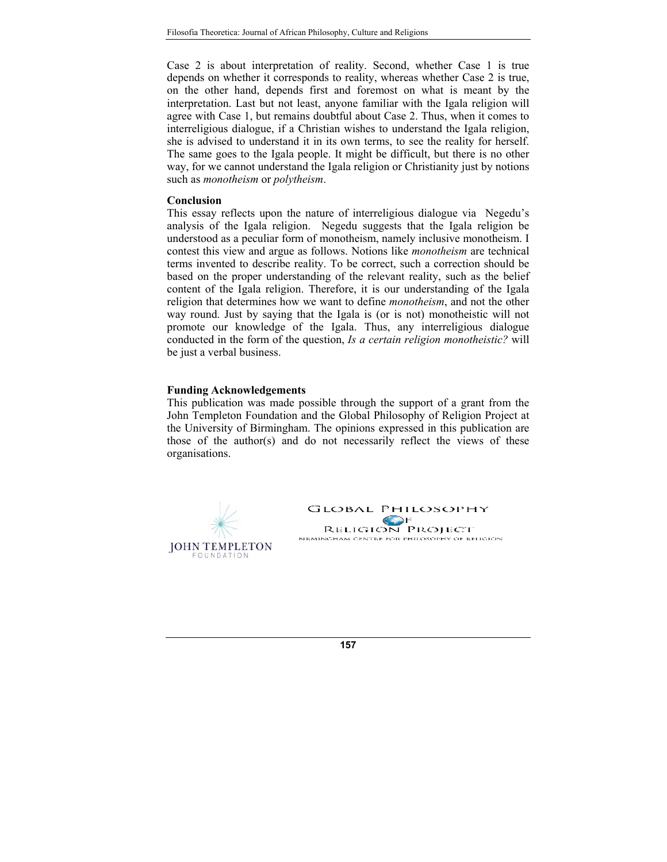Case 2 is about interpretation of reality. Second, whether Case 1 is true depends on whether it corresponds to reality, whereas whether Case 2 is true, on the other hand, depends first and foremost on what is meant by the interpretation. Last but not least, anyone familiar with the Igala religion will agree with Case 1, but remains doubtful about Case 2. Thus, when it comes to interreligious dialogue, if a Christian wishes to understand the Igala religion, she is advised to understand it in its own terms, to see the reality for herself. The same goes to the Igala people. It might be difficult, but there is no other way, for we cannot understand the Igala religion or Christianity just by notions such as *monotheism* or *polytheism*.

#### **Conclusion**

This essay reflects upon the nature of interreligious dialogue via Negedu's analysis of the Igala religion. Negedu suggests that the Igala religion be understood as a peculiar form of monotheism, namely inclusive monotheism. I contest this view and argue as follows. Notions like *monotheism* are technical terms invented to describe reality. To be correct, such a correction should be based on the proper understanding of the relevant reality, such as the belief content of the Igala religion. Therefore, it is our understanding of the Igala religion that determines how we want to define *monotheism*, and not the other way round. Just by saying that the Igala is (or is not) monotheistic will not promote our knowledge of the Igala. Thus, any interreligious dialogue conducted in the form of the question, *Is a certain religion monotheistic?* will be just a verbal business.

#### **Funding Acknowledgements**

This publication was made possible through the support of a grant from the John Templeton Foundation and the Global Philosophy of Religion Project at the University of Birmingham. The opinions expressed in this publication are those of the author(s) and do not necessarily reflect the views of these organisations.

**JOHN TEMPLETON FOUNDATION**